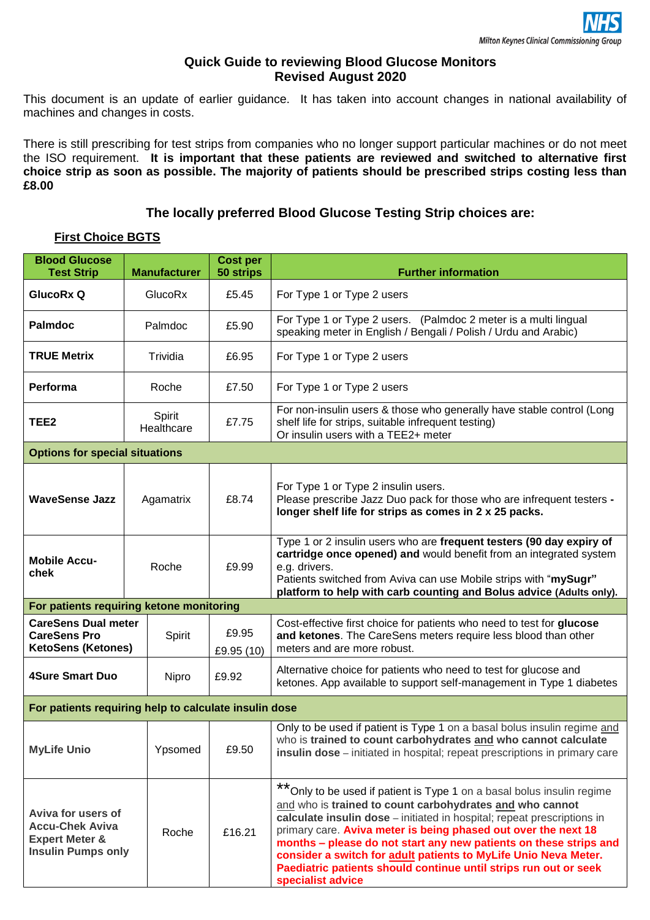## **Quick Guide to reviewing Blood Glucose Monitors Revised August 2020**

This document is an update of earlier guidance. It has taken into account changes in national availability of machines and changes in costs.

There is still prescribing for test strips from companies who no longer support particular machines or do not meet the ISO requirement. **It is important that these patients are reviewed and switched to alternative first choice strip as soon as possible. The majority of patients should be prescribed strips costing less than £8.00**

# **The locally preferred Blood Glucose Testing Strip choices are:**

# **First Choice BGTS**

| <b>Blood Glucose</b><br><b>Test Strip</b>                                                              | <b>Manufacturer</b>  | <b>Cost per</b><br>50 strips | <b>Further information</b>                                                                                                                                                                                                                                                                                                                                                                                                                                                                                           |  |  |  |
|--------------------------------------------------------------------------------------------------------|----------------------|------------------------------|----------------------------------------------------------------------------------------------------------------------------------------------------------------------------------------------------------------------------------------------------------------------------------------------------------------------------------------------------------------------------------------------------------------------------------------------------------------------------------------------------------------------|--|--|--|
| GlucoRx Q                                                                                              | GlucoRx              | £5.45                        | For Type 1 or Type 2 users                                                                                                                                                                                                                                                                                                                                                                                                                                                                                           |  |  |  |
| <b>Palmdoc</b>                                                                                         | Palmdoc              |                              | For Type 1 or Type 2 users. (Palmdoc 2 meter is a multi lingual<br>speaking meter in English / Bengali / Polish / Urdu and Arabic)                                                                                                                                                                                                                                                                                                                                                                                   |  |  |  |
| <b>TRUE Metrix</b><br>Trividia                                                                         |                      | £6.95                        | For Type 1 or Type 2 users                                                                                                                                                                                                                                                                                                                                                                                                                                                                                           |  |  |  |
| Performa                                                                                               | Roche                | £7.50                        | For Type 1 or Type 2 users                                                                                                                                                                                                                                                                                                                                                                                                                                                                                           |  |  |  |
| TEE2                                                                                                   | Spirit<br>Healthcare |                              | For non-insulin users & those who generally have stable control (Long<br>shelf life for strips, suitable infrequent testing)<br>Or insulin users with a TEE2+ meter                                                                                                                                                                                                                                                                                                                                                  |  |  |  |
| <b>Options for special situations</b>                                                                  |                      |                              |                                                                                                                                                                                                                                                                                                                                                                                                                                                                                                                      |  |  |  |
| <b>WaveSense Jazz</b>                                                                                  | Agamatrix            | £8.74                        | For Type 1 or Type 2 insulin users.<br>Please prescribe Jazz Duo pack for those who are infrequent testers -<br>longer shelf life for strips as comes in 2 x 25 packs.                                                                                                                                                                                                                                                                                                                                               |  |  |  |
| <b>Mobile Accu-</b><br>chek                                                                            | Roche                | £9.99                        | Type 1 or 2 insulin users who are frequent testers (90 day expiry of<br>cartridge once opened) and would benefit from an integrated system<br>e.g. drivers.<br>Patients switched from Aviva can use Mobile strips with "mySugr"<br>platform to help with carb counting and Bolus advice (Adults only).                                                                                                                                                                                                               |  |  |  |
| For patients requiring ketone monitoring                                                               |                      |                              |                                                                                                                                                                                                                                                                                                                                                                                                                                                                                                                      |  |  |  |
| <b>CareSens Dual meter</b><br><b>CareSens Pro</b><br><b>KetoSens (Ketones)</b>                         | Spirit               | £9.95<br>£9.95 (10)          | Cost-effective first choice for patients who need to test for glucose<br>and ketones. The CareSens meters require less blood than other<br>meters and are more robust.                                                                                                                                                                                                                                                                                                                                               |  |  |  |
| <b>4Sure Smart Duo</b>                                                                                 | Nipro                | £9.92                        | Alternative choice for patients who need to test for glucose and<br>ketones. App available to support self-management in Type 1 diabetes                                                                                                                                                                                                                                                                                                                                                                             |  |  |  |
| For patients requiring help to calculate insulin dose                                                  |                      |                              |                                                                                                                                                                                                                                                                                                                                                                                                                                                                                                                      |  |  |  |
| <b>MyLife Unio</b>                                                                                     | Ypsomed              | £9.50                        | Only to be used if patient is Type 1 on a basal bolus insulin regime and<br>who is trained to count carbohydrates and who cannot calculate<br>insulin dose - initiated in hospital; repeat prescriptions in primary care                                                                                                                                                                                                                                                                                             |  |  |  |
| Aviva for users of<br><b>Accu-Chek Aviva</b><br><b>Expert Meter &amp;</b><br><b>Insulin Pumps only</b> | Roche                | £16.21                       | **<br>Only to be used if patient is Type 1 on a basal bolus insulin regime<br>and who is trained to count carbohydrates and who cannot<br>calculate insulin dose - initiated in hospital; repeat prescriptions in<br>primary care. Aviva meter is being phased out over the next 18<br>months - please do not start any new patients on these strips and<br>consider a switch for adult patients to MyLife Unio Neva Meter.<br>Paediatric patients should continue until strips run out or seek<br>specialist advice |  |  |  |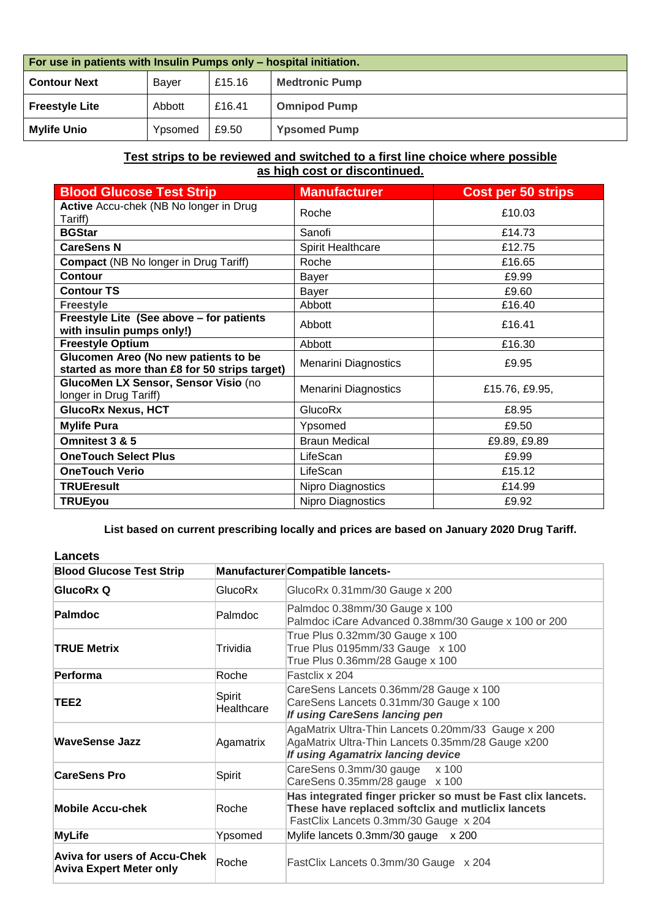| For use in patients with Insulin Pumps only – hospital initiation. |              |        |                       |  |
|--------------------------------------------------------------------|--------------|--------|-----------------------|--|
| <b>Contour Next</b>                                                | <b>Baver</b> | £15.16 | <b>Medtronic Pump</b> |  |
| <b>Freestyle Lite</b>                                              | Abbott       | £16.41 | <b>Omnipod Pump</b>   |  |
| <b>Mylife Unio</b>                                                 | Ypsomed      | £9.50  | <b>Ypsomed Pump</b>   |  |

#### **Test strips to be reviewed and switched to a first line choice where possible as high cost or discontinued.**

| <b>Blood Glucose Test Strip</b>                                                       | <b>Manufacturer</b>         | <b>Cost per 50 strips</b> |
|---------------------------------------------------------------------------------------|-----------------------------|---------------------------|
| Active Accu-chek (NB No longer in Drug<br>Tariff)                                     | Roche                       | £10.03                    |
| <b>BGStar</b>                                                                         | Sanofi                      | £14.73                    |
| <b>CareSens N</b>                                                                     | Spirit Healthcare           | £12.75                    |
| <b>Compact (NB No longer in Drug Tariff)</b>                                          | Roche                       | £16.65                    |
| <b>Contour</b>                                                                        | Bayer                       | £9.99                     |
| <b>Contour TS</b>                                                                     | Bayer                       | £9.60                     |
| <b>Freestyle</b>                                                                      | Abbott                      | £16.40                    |
| Freestyle Lite (See above - for patients<br>with insulin pumps only!)                 | Abbott                      | £16.41                    |
| <b>Freestyle Optium</b>                                                               | Abbott                      | £16.30                    |
| Glucomen Areo (No new patients to be<br>started as more than £8 for 50 strips target) | <b>Menarini Diagnostics</b> | £9.95                     |
| GlucoMen LX Sensor, Sensor Visio (no<br>longer in Drug Tariff)                        | <b>Menarini Diagnostics</b> | £15.76, £9.95,            |
| <b>GlucoRx Nexus, HCT</b>                                                             | GlucoRx                     | £8.95                     |
| <b>Mylife Pura</b>                                                                    | Ypsomed                     | £9.50                     |
| Omnitest 3 & 5                                                                        | <b>Braun Medical</b>        | £9.89, £9.89              |
| <b>OneTouch Select Plus</b>                                                           | LifeScan                    | £9.99                     |
| <b>OneTouch Verio</b>                                                                 | LifeScan                    | £15.12                    |
| <b>TRUEresult</b>                                                                     | Nipro Diagnostics           | £14.99                    |
| <b>TRUEyou</b>                                                                        | Nipro Diagnostics           | £9.92                     |

**List based on current prescribing locally and prices are based on January 2020 Drug Tariff.**

| <b>Lancets</b>                                                        |                      |                                                                                                                                                            |  |  |
|-----------------------------------------------------------------------|----------------------|------------------------------------------------------------------------------------------------------------------------------------------------------------|--|--|
| <b>Blood Glucose Test Strip</b>                                       |                      | Manufacturer Compatible lancets-                                                                                                                           |  |  |
| GlucoRx Q                                                             | GlucoRx              | GlucoRx 0.31mm/30 Gauge x 200                                                                                                                              |  |  |
| Palmdoc                                                               | Palmdoc              | Palmdoc 0.38mm/30 Gauge x 100<br>Palmdoc iCare Advanced 0.38mm/30 Gauge x 100 or 200                                                                       |  |  |
| <b>TRUE Metrix</b>                                                    | Trividia             | True Plus 0.32mm/30 Gauge x 100<br>True Plus 0195mm/33 Gauge x 100<br>True Plus 0.36mm/28 Gauge x 100                                                      |  |  |
| Performa                                                              | Roche                | Fastelix x 204                                                                                                                                             |  |  |
| TEE2                                                                  | Spirit<br>Healthcare | CareSens Lancets 0.36mm/28 Gauge x 100<br>CareSens Lancets 0.31mm/30 Gauge x 100<br>If using CareSens lancing pen                                          |  |  |
| WaveSense Jazz                                                        | Agamatrix            | AgaMatrix Ultra-Thin Lancets 0.20mm/33 Gauge x 200<br>AgaMatrix Ultra-Thin Lancets 0.35mm/28 Gauge x200<br>If using Agamatrix lancing device               |  |  |
| <b>CareSens Pro</b>                                                   | Spirit               | CareSens 0.3mm/30 gauge x 100<br>CareSens 0.35mm/28 gauge x 100                                                                                            |  |  |
| <b>Mobile Accu-chek</b>                                               | Roche                | Has integrated finger pricker so must be Fast clix lancets.<br>These have replaced softclix and mutliclix lancets<br>FastClix Lancets 0.3mm/30 Gauge x 204 |  |  |
| <b>MyLife</b>                                                         | Ypsomed              | Mylife lancets 0.3mm/30 gauge x 200                                                                                                                        |  |  |
| <b>Aviva for users of Accu-Chek</b><br><b>Aviva Expert Meter only</b> | Roche                | FastClix Lancets 0.3mm/30 Gauge x 204                                                                                                                      |  |  |